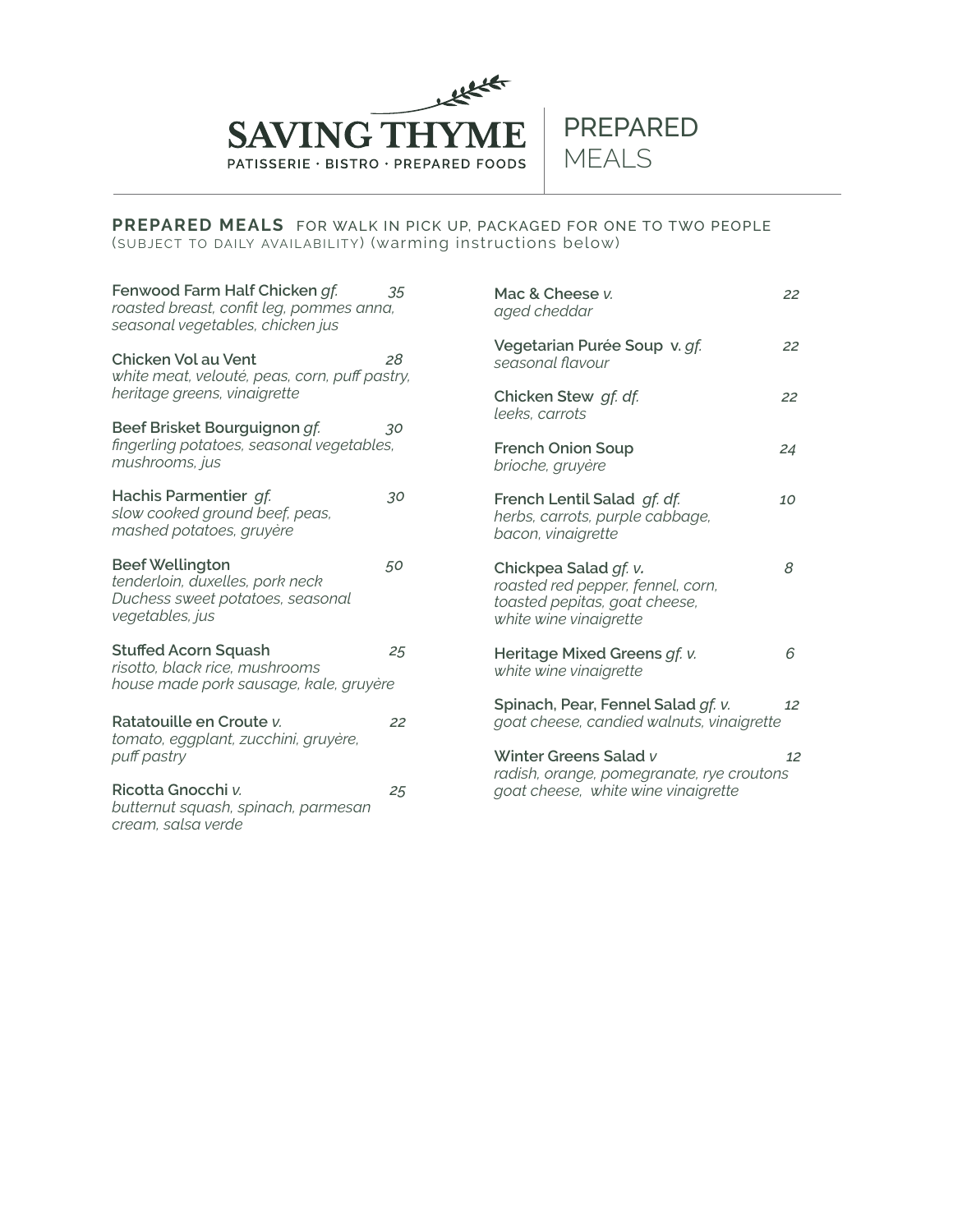

#### **PREPARED MEALS** FOR WALK IN PICK UP, PACKAGED FOR ONE TO TWO PEOPLE (SUBJECT TO DAILY AVAILABILITY) (warming instructions below)

| Fenwood Farm Half Chicken gf.<br>roasted breast, confit leg, pommes anna,<br>seasonal vegetables, chicken jus    | 35 | Mac & Cheese v.<br>aged cheddar                                                                                       | 22 |
|------------------------------------------------------------------------------------------------------------------|----|-----------------------------------------------------------------------------------------------------------------------|----|
| Chicken Vol au Vent<br>white meat, velouté, peas, corn, puff pastry,                                             | 28 | Vegetarian Purée Soup v. gf.<br>seasonal flavour                                                                      | 22 |
| heritage greens, vinaigrette                                                                                     |    | Chicken Stew gf. df.<br>leeks, carrots                                                                                | 22 |
| Beef Brisket Bourguignon gf.<br>fingerling potatoes, seasonal vegetables,<br>mushrooms, jus                      | 30 |                                                                                                                       |    |
|                                                                                                                  |    | <b>French Onion Soup</b><br>brioche, gruyère                                                                          | 24 |
| Hachis Parmentier gf.<br>slow cooked ground beef, peas,<br>mashed potatoes, gruyère                              | 30 | French Lentil Salad gf. df.<br>herbs, carrots, purple cabbage,<br>bacon, vinaigrette                                  | 10 |
| <b>Beef Wellington</b><br>tenderloin, duxelles, pork neck<br>Duchess sweet potatoes, seasonal<br>vegetables, jus | 50 | Chickpea Salad gf. v.<br>roasted red pepper, fennel, corn,<br>toasted pepitas, goat cheese,<br>white wine vinaigrette | 8  |
| <b>Stuffed Acorn Squash</b><br>risotto, black rice, mushrooms<br>house made pork sausage, kale, gruyère          | 25 | Heritage Mixed Greens of. v.<br>white wine vinaigrette                                                                | 6  |
| Ratatouille en Croute v.<br>tomato, eggplant, zucchini, gruyère,<br>puff pastry                                  | 22 | Spinach, Pear, Fennel Salad gf. v.<br>goat cheese, candied walnuts, vinaigrette                                       | 12 |
|                                                                                                                  |    | Winter Greens Salad v                                                                                                 | 12 |
| Ricotta Gnocchi v.<br>butternut squash, spinach, parmesan<br>cream, salsa verde                                  | 25 | radish, orange, pomegranate, rye croutons<br>goat cheese, white wine vinaigrette                                      |    |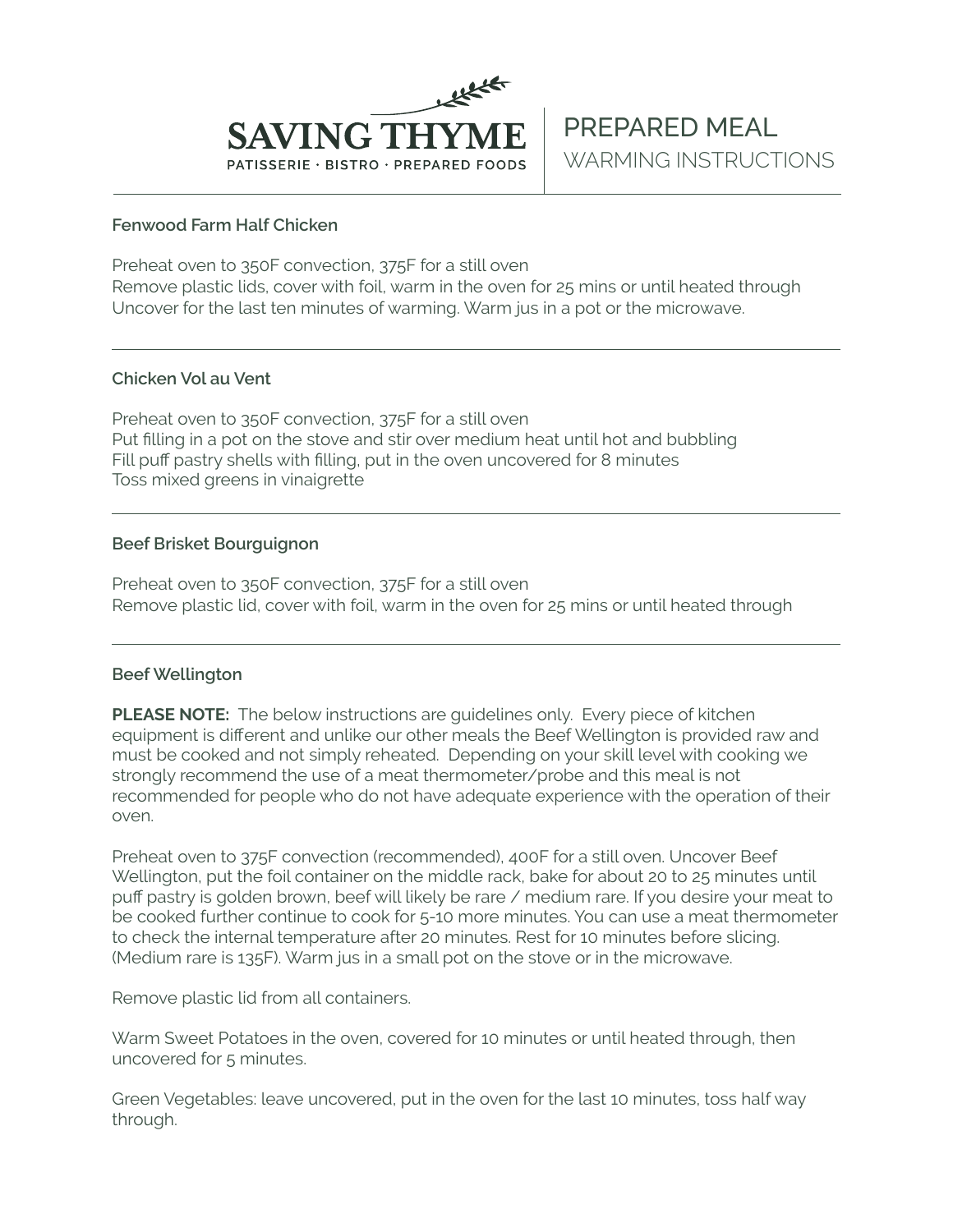

## **Fenwood Farm Half Chicken**

Preheat oven to 350F convection, 375F for a still oven Remove plastic lids, cover with foil, warm in the oven for 25 mins or until heated through Uncover for the last ten minutes of warming. Warm jus in a pot or the microwave.

## **Chicken Vol au Vent**

Preheat oven to 350F convection, 375F for a still oven Put filling in a pot on the stove and stir over medium heat until hot and bubbling Fill puff pastry shells with filling, put in the oven uncovered for 8 minutes Toss mixed greens in vinaigrette

# **Beef Brisket Bourguignon**

Preheat oven to 350F convection, 375F for a still oven Remove plastic lid, cover with foil, warm in the oven for 25 mins or until heated through

# **Beef Wellington**

**PLEASE NOTE:** The below instructions are quidelines only. Every piece of kitchen equipment is different and unlike our other meals the Beef Wellington is provided raw and must be cooked and not simply reheated. Depending on your skill level with cooking we strongly recommend the use of a meat thermometer/probe and this meal is not recommended for people who do not have adequate experience with the operation of their oven.

Preheat oven to 375F convection (recommended), 400F for a still oven. Uncover Beef Wellington, put the foil container on the middle rack, bake for about 20 to 25 minutes until puff pastry is golden brown, beef will likely be rare / medium rare. If you desire your meat to be cooked further continue to cook for 5-10 more minutes. You can use a meat thermometer to check the internal temperature after 20 minutes. Rest for 10 minutes before slicing. (Medium rare is 135F). Warm jus in a small pot on the stove or in the microwave.

Remove plastic lid from all containers.

Warm Sweet Potatoes in the oven, covered for 10 minutes or until heated through, then uncovered for 5 minutes.

Green Vegetables: leave uncovered, put in the oven for the last 10 minutes, toss half way through.